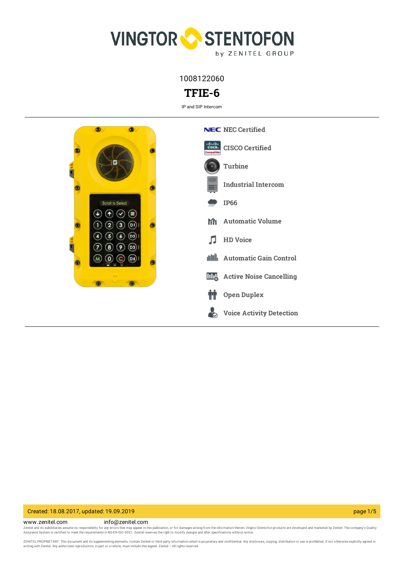

1008122060

# **TFIE-6**

IP and SIP Intercom



### Created: 18.08.2017, updated: 19.09.2019 page 1/5

www.zenitel.com info@zenitel.com Zenitel and its subsidiaries assume no responsibility for any errors that may appear in this publication, or for damages arising from the information therein. Vingtor-Stentofon products are developed and marketed by Zenite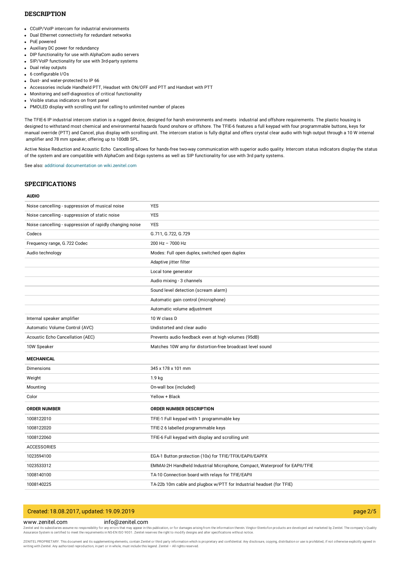### **DESCRIPTION**

- CCoIP/VoIP intercom for industrial environments
- Dual Ethernet connectivity for redundant networks
- PoE powered
- Auxiliary DC power for redundancy
- DIP functionality for use with AlphaCom audio servers
- SIP/VoIP functionality for use with 3rd-party systems
- Dual relay outputs
- 6 configurable I/Os
- Dust- and water-protected to IP 66
- Accessories include Handheld PTT, Headset with ON/OFF and PTT and Handset with PTT
- Monitoring and self-diagnostics of critical functionality
- Visible status indicators on front panel
- PMOLED display with scrolling unit for calling to unlimited number of places

The TFIE-6 IP industrial intercom station is a rugged device, designed for harsh environments and meets industrial and offshore requirements. The plastic housing is designed to withstand most chemical and environmental hazards found onshore or offshore. The TFIE-6 features a full keypad with four programmable buttons, keys for manual override (PTT) and Cancel, plus display with scrolling unit. The intercom station is fully digital and offers crystal clear audio with high output through a 10 W internal amplifier and 78 mm speaker, offering up to 100dB SPL.

Active Noise Reduction and Acoustic Echo Cancelling allows for hands-free two-way communication with superior audio quality. Intercom status indicators display the status of the system and are compatible with AlphaCom and Exigo systems as well as SIP functionality for use with 3rd party systems.

See also: additional documentation on [wiki.zenitel.com](https://wiki.zenitel.com/wiki/TFIE-6)

## **SPECIFICATIONS**

#### **AUDIO**

| Noise cancelling - suppression of musical noise          | <b>YES</b>                                                                  |
|----------------------------------------------------------|-----------------------------------------------------------------------------|
| Noise cancelling - suppression of static noise           | <b>YES</b>                                                                  |
| Noise cancelling - suppression of rapidly changing noise | <b>YES</b>                                                                  |
| Codecs                                                   | G.711, G.722, G.729                                                         |
| Frequency range, G.722 Codec                             | 200 Hz - 7000 Hz                                                            |
| Audio technology                                         | Modes: Full open duplex, switched open duplex                               |
|                                                          | Adaptive jitter filter                                                      |
|                                                          | Local tone generator                                                        |
|                                                          | Audio mixing - 3 channels                                                   |
|                                                          | Sound level detection (scream alarm)                                        |
|                                                          | Automatic gain control (microphone)                                         |
|                                                          | Automatic volume adjustment                                                 |
| Internal speaker amplifier                               | 10 W class D                                                                |
| Automatic Volume Control (AVC)                           | Undistorted and clear audio                                                 |
| Acoustic Echo Cancellation (AEC)                         | Prevents audio feedback even at high volumes (95dB)                         |
| 10W Speaker                                              | Matches 10W amp for distortion-free broadcast level sound                   |
| <b>MECHANICAL</b>                                        |                                                                             |
| Dimensions                                               | 345 x 178 x 101 mm                                                          |
| Weight                                                   | 1.9 <sub>kg</sub>                                                           |
| Mounting                                                 | On-wall box (included)                                                      |
| Color                                                    | Yellow + Black                                                              |
| <b>ORDER NUMBER</b>                                      | ORDER NUMBER DESCRIPTION                                                    |
| 1008122010                                               | TFIE-1 Full keypad with 1 programmable key                                  |
| 1008122020                                               | TFIE-2 6 labelled programmable keys                                         |
| 1008122060                                               | TFIE-6 Full keypad with display and scrolling unit                          |
| <b>ACCESSORIES</b>                                       |                                                                             |
| 1023594100                                               | EGA-1 Button protection (10x) for TFIE/TFIX/EAPII/EAPFX                     |
| 1023533312                                               | EMMAI-2H Handheld Industrial Microphone, Compact, Waterproof for EAPII/TFIE |
| 1008140100                                               | TA-10 Connection board with relays for TFIE/EAPII                           |
| 1008140225                                               | TA-22b 10m cable and plugbox w/PTT for Industrial headset (for TFIE)        |

## Created: 18.08.2017, updated: 19.09.2019 page 2/5

### www.zenitel.com info@zenitel.com

Zenitel and its subsidiaries assume no responsibility for any errors that may appear in this publication, or for damages arising from the information therein. Vingtor-Stentofon products are developed and marketed by Zenite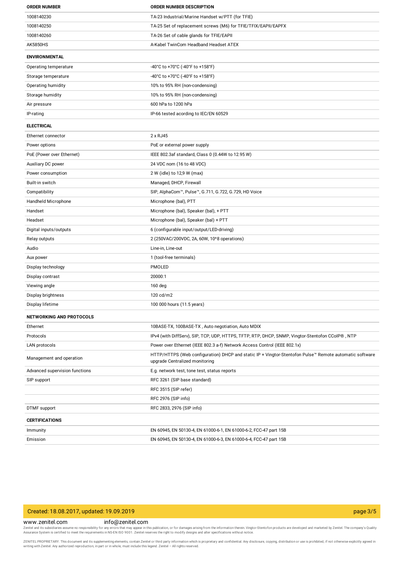| <b>ORDER NUMBER</b>            | <b>ORDER NUMBER DESCRIPTION</b>                                                                                                          |
|--------------------------------|------------------------------------------------------------------------------------------------------------------------------------------|
| 1008140230                     | TA-23 Industrial/Marine Handset w/PTT (for TFIE)                                                                                         |
| 1008140250                     | TA-25 Set of replacement screws (M6) for TFIE/TFIX/EAPII/EAPFX                                                                           |
| 1008140260                     | TA-26 Set of cable glands for TFIE/EAPII                                                                                                 |
| <b>AK5850HS</b>                | A-Kabel TwinCom Headband Headset ATEX                                                                                                    |
| <b>ENVIRONMENTAL</b>           |                                                                                                                                          |
| Operating temperature          | -40°C to +70°C (-40°F to +158°F)                                                                                                         |
| Storage temperature            | -40°C to +70°C (-40°F to +158°F)                                                                                                         |
| Operating humidity             | 10% to 95% RH (non-condensing)                                                                                                           |
| Storage humidity               | 10% to 95% RH (non-condensing)                                                                                                           |
| Air pressure                   | 600 hPa to 1200 hPa                                                                                                                      |
| IP-rating                      | IP-66 tested acording to IEC/EN 60529                                                                                                    |
| <b>ELECTRICAL</b>              |                                                                                                                                          |
| Ethernet connector             | 2 x RJ45                                                                                                                                 |
| Power options                  | PoE or external power supply                                                                                                             |
| PoE (Power over Ethernet)      | IEEE 802.3af standard, Class 0 (0.44W to 12.95 W)                                                                                        |
| Auxiliary DC power             | 24 VDC nom (16 to 48 VDC)                                                                                                                |
| Power consumption              | 2 W (idle) to 12,9 W (max)                                                                                                               |
| Built-in switch                | Managed, DHCP, Firewall                                                                                                                  |
| Compatibility                  | SIP, AlphaCom™, Pulse™, G.711, G.722, G.729, HD Voice                                                                                    |
| Handheld Microphone            | Microphone (bal), PTT                                                                                                                    |
| Handset                        | Microphone (bal), Speaker (bal), + PTT                                                                                                   |
| Headset                        | Microphone (bal), Speaker (bal) + PTT                                                                                                    |
| Digital inputs/outputs         | 6 (configurable input/output/LED-driving)                                                                                                |
| Relay outputs                  | 2 (250VAC/200VDC, 2A, 60W, 10^8 operations)                                                                                              |
| Audio                          | Line-in, Line-out                                                                                                                        |
| Aux power                      | 1 (tool-free terminals)                                                                                                                  |
| Display technology             | PMOLED                                                                                                                                   |
| Display contrast               | 20000:1                                                                                                                                  |
| Viewing angle                  | 160 deg                                                                                                                                  |
| Display brightness             | 120 cd/m2                                                                                                                                |
| Display lifetime               | 100 000 hours (11.5 years)                                                                                                               |
| NETWORKING AND PROTOCOLS       |                                                                                                                                          |
| Ethernet                       | 10BASE-TX, 100BASE-TX, Auto negotiation, Auto MDIX                                                                                       |
| Protocols                      | IPv4 (with DiffServ), SIP, TCP, UDP, HTTPS, TFTP, RTP, DHCP, SNMP, Vingtor-Stentofon CCoIP®, NTP                                         |
| LAN protocols                  | Power over Ethernet (IEEE 802.3 a-f) Network Access Control (IEEE 802.1x)                                                                |
| Management and operation       | HTTP/HTTPS (Web configuration) DHCP and static IP + Vingtor-Stentofon Pulse™ Remote automatic software<br>upgrade Centralized monitoring |
| Advanced supervision functions | E.g. network test, tone test, status reports                                                                                             |
| SIP support                    | RFC 3261 (SIP base standard)                                                                                                             |
|                                | RFC 3515 (SIP refer)                                                                                                                     |
|                                | RFC 2976 (SIP info)                                                                                                                      |
| DTMF support                   | RFC 2833, 2976 (SIP info)                                                                                                                |
| <b>CERTIFICATIONS</b>          |                                                                                                                                          |
| Immunity                       | EN 60945, EN 50130-4, EN 61000-6-1, EN 61000-6-2, FCC-47 part 15B                                                                        |
| Emission                       | EN 60945, EN 50130-4, EN 61000-6-3, EN 61000-6-4, FCC-47 part 15B                                                                        |

# Created: 18.08.2017, updated: 19.09.2019 page 3/5

www.zenitel.com info@zenitel.com

Zenitel and its subsidiaries assume no responsibility for any errors that may appear in this publication, or for damages arising from the information therein. Vingtor-Stentofon products are developed and marketed by Zenite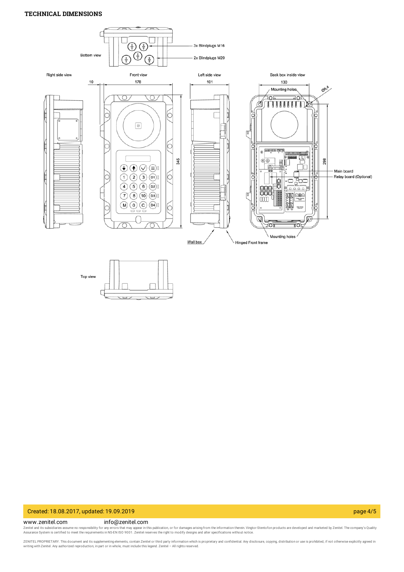### **TECHNICAL DIMENSIONS**





### Created: 18.08.2017, updated: 19.09.2019 page 4/5

#### www.zenitel.com info@zenitel.com

Zenitel and its subsidiaries assume no responsibility for any errors that may appear in this publication, or for damages arising from the information therein. Vingtor-Stentofon products are developed and marketed by Zenite